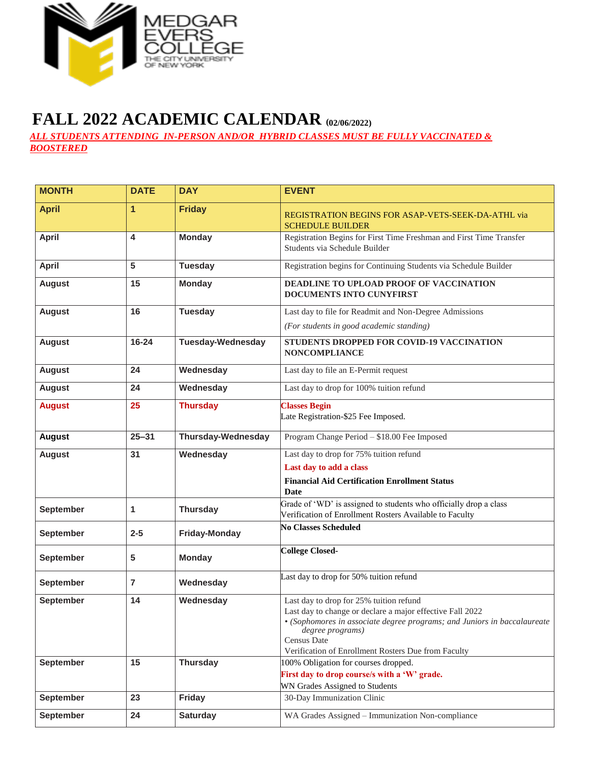

## **FALL 2022 ACADEMIC CALENDAR (02/06/2022)**

*ALL STUDENTS ATTENDING IN-PERSON AND/OR HYBRID CLASSES MUST BE FULLY VACCINATED & BOOSTERED*

| <b>MONTH</b>     | <b>DATE</b> | <b>DAY</b>                | <b>EVENT</b>                                                                                                                                                                                                                                                               |
|------------------|-------------|---------------------------|----------------------------------------------------------------------------------------------------------------------------------------------------------------------------------------------------------------------------------------------------------------------------|
| <b>April</b>     | 1           | <b>Friday</b>             | REGISTRATION BEGINS FOR ASAP-VETS-SEEK-DA-ATHL via<br><b>SCHEDULE BUILDER</b>                                                                                                                                                                                              |
| <b>April</b>     | 4           | <b>Monday</b>             | Registration Begins for First Time Freshman and First Time Transfer<br>Students via Schedule Builder                                                                                                                                                                       |
| <b>April</b>     | 5           | <b>Tuesday</b>            | Registration begins for Continuing Students via Schedule Builder                                                                                                                                                                                                           |
| <b>August</b>    | 15          | <b>Monday</b>             | DEADLINE TO UPLOAD PROOF OF VACCINATION<br>DOCUMENTS INTO CUNYFIRST                                                                                                                                                                                                        |
| <b>August</b>    | 16          | <b>Tuesday</b>            | Last day to file for Readmit and Non-Degree Admissions                                                                                                                                                                                                                     |
|                  |             |                           | (For students in good academic standing)                                                                                                                                                                                                                                   |
| <b>August</b>    | $16 - 24$   | <b>Tuesday-Wednesday</b>  | STUDENTS DROPPED FOR COVID-19 VACCINATION<br><b>NONCOMPLIANCE</b>                                                                                                                                                                                                          |
| <b>August</b>    | 24          | Wednesday                 | Last day to file an E-Permit request                                                                                                                                                                                                                                       |
| <b>August</b>    | 24          | Wednesday                 | Last day to drop for 100% tuition refund                                                                                                                                                                                                                                   |
| <b>August</b>    | 25          | <b>Thursday</b>           | <b>Classes Begin</b><br>Late Registration-\$25 Fee Imposed.                                                                                                                                                                                                                |
| <b>August</b>    | $25 - 31$   | <b>Thursday-Wednesday</b> | Program Change Period - \$18.00 Fee Imposed                                                                                                                                                                                                                                |
| <b>August</b>    | 31          | Wednesday                 | Last day to drop for 75% tuition refund                                                                                                                                                                                                                                    |
|                  |             |                           | Last day to add a class                                                                                                                                                                                                                                                    |
|                  |             |                           | <b>Financial Aid Certification Enrollment Status</b><br>Date                                                                                                                                                                                                               |
| September        | 1           | <b>Thursday</b>           | Grade of 'WD' is assigned to students who officially drop a class<br>Verification of Enrollment Rosters Available to Faculty                                                                                                                                               |
| September        | $2 - 5$     | Friday-Monday             | <b>No Classes Scheduled</b>                                                                                                                                                                                                                                                |
| September        | 5           | <b>Monday</b>             | <b>College Closed-</b>                                                                                                                                                                                                                                                     |
| September        | 7           | Wednesday                 | Last day to drop for 50% tuition refund                                                                                                                                                                                                                                    |
| <b>September</b> | 14          | Wednesday                 | Last day to drop for 25% tuition refund<br>Last day to change or declare a major effective Fall 2022<br>• (Sophomores in associate degree programs; and Juniors in baccalaureate<br>degree programs)<br>Census Date<br>Verification of Enrollment Rosters Due from Faculty |
| <b>September</b> | 15          | Thursday                  | 100% Obligation for courses dropped.                                                                                                                                                                                                                                       |
|                  |             |                           | First day to drop course/s with a 'W' grade.                                                                                                                                                                                                                               |
| <b>September</b> | 23          | Friday                    | WN Grades Assigned to Students<br>30-Day Immunization Clinic                                                                                                                                                                                                               |
|                  |             |                           |                                                                                                                                                                                                                                                                            |
| September        | 24          | <b>Saturday</b>           | WA Grades Assigned - Immunization Non-compliance                                                                                                                                                                                                                           |